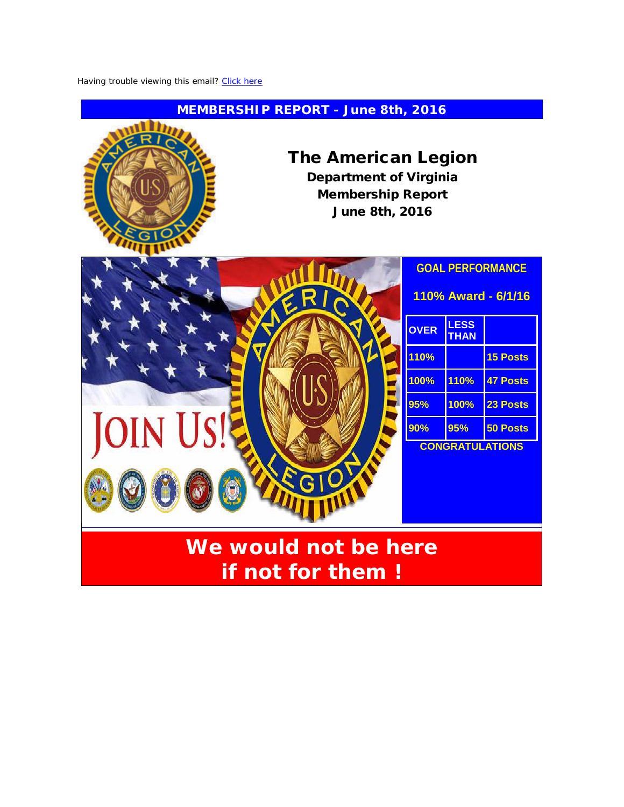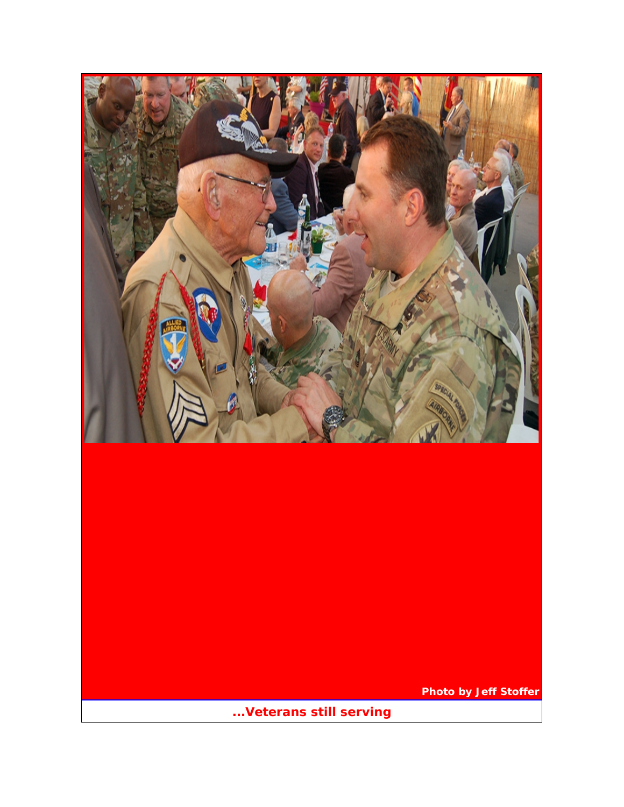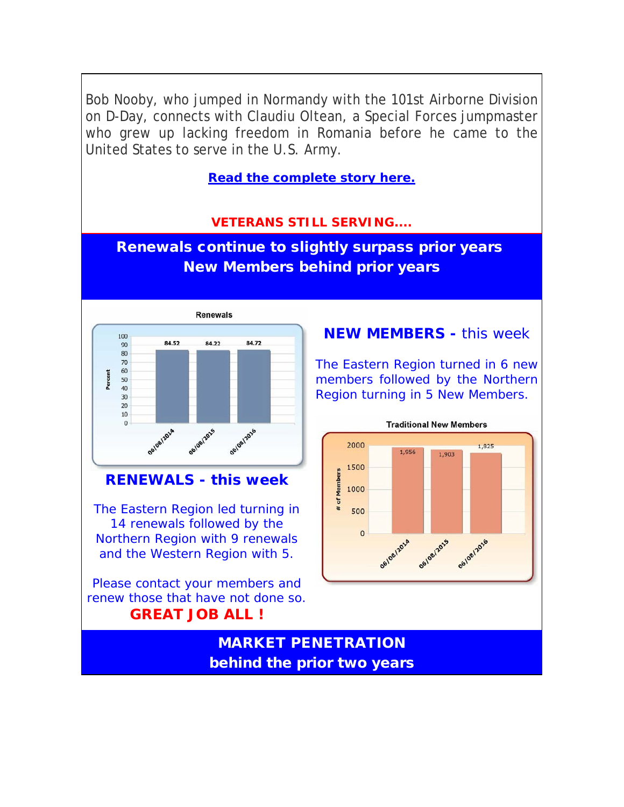Bob Nooby, who jumped in Normandy with the 101st Airborne Division on D-Day, connects with Claudiu Oltean, a Special Forces jumpmaster who grew up lacking freedom in Romania before he came to the United States to serve in the U.S. Army.

**[Read the complete story here.](http://r20.rs6.net/tn.jsp?f=001usTWRMHz0inQZ4pO9pUPeX7fe06uzzNOY-HQeWSxnoxlXL1Bkbj0ry47rzNZeA6Qc5DoDOsDkWHrTku_fwdfp4Blxw2BXaRr8llzu7cR-jxtwlUD48IxHC_LaRmTcKfbLRFsTZy76YBe-NcxI8DWMgR6iNczn2D8AUcuEZAR5dAsRlhCTee-_7V0EAbum3zpu_0hM-ubkZeNQMym7hsY5Ra08G5ve0LE17MDC_ovCjo=&c=1h8WDZm-KTRwIOLhXcFFsUd6h18G7IDSeXp2P9URKkZS80KWAC-HpQ==&ch=AtX6VZs0_7fxWV9VB8LREADMF9MTrjPIJ1dNvEvGWqyH6a0S1S9-LQ==)**

## **VETERANS STILL SERVING....**

Renewals continue to slightly surpass prior years New Members behind prior years



## **RENEWALS - this week**

The Eastern Region led turning in 14 renewals followed by the Northern Region with 9 renewals and the Western Region with 5.

Please contact your members and renew those that have not done so. **GREAT JOB ALL !**

## **NEW MEMBERS -** this week

The Eastern Region turned in 6 new members followed by the Northern Region turning in 5 New Members.



# MARKET PENETRATION behind the prior two years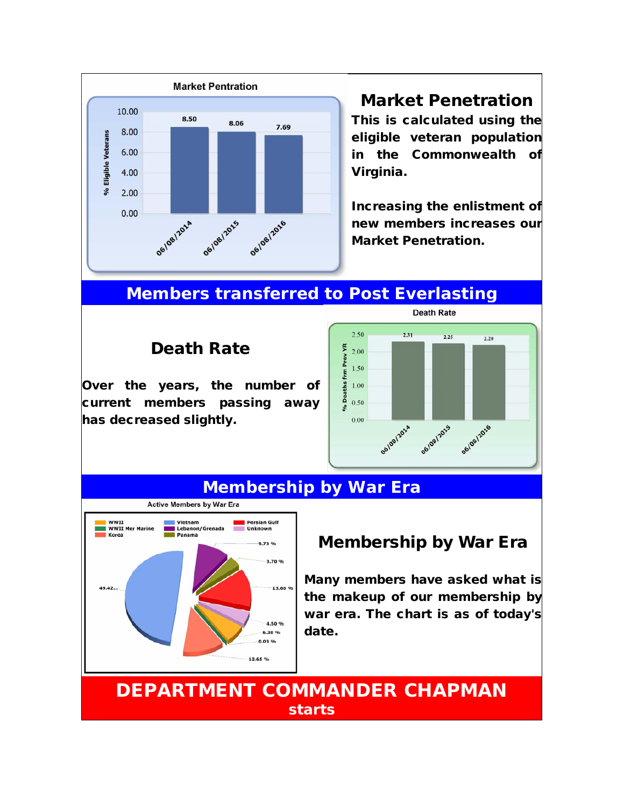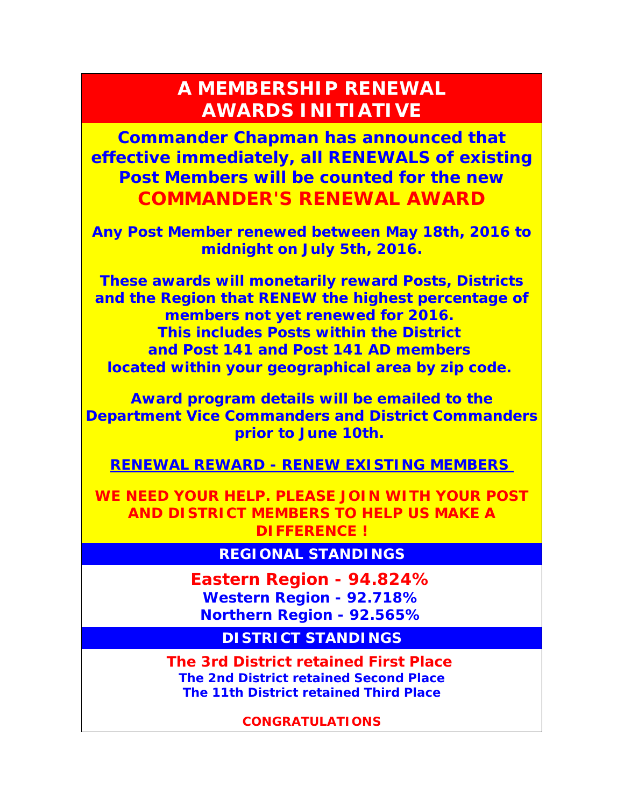# **A MEMBERSHIP RENEWAL AWARDS INITIATIVE**

**Commander Chapman has announced that effective immediately, all RENEWALS of existing Post Members will be counted for the new COMMANDER'S RENEWAL AWARD**

**Any Post Member renewed between May 18th, 2016 to midnight on July 5th, 2016.**

**These awards will monetarily reward Posts, Districts and the Region that RENEW the highest percentage of members not yet renewed for 2016. This includes Posts within the District and Post 141 and Post 141 AD members located within your geographical area by zip code.**

**Award program details will be emailed to the Department Vice Commanders and District Commanders prior to June 10th.**

**RENEWAL REWARD - RENEW EXISTING MEMBERS**

**WE NEED YOUR HELP. PLEASE JOIN WITH YOUR POST AND DISTRICT MEMBERS TO HELP US MAKE A DIFFERENCE !**

**REGIONAL STANDINGS**

**Eastern Region - 94.824% Western Region - 92.718% Northern Region - 92.565%**

**DISTRICT STANDINGS**

**The 3rd District retained First Place The 2nd District retained Second Place The 11th District retained Third Place**

**CONGRATULATIONS**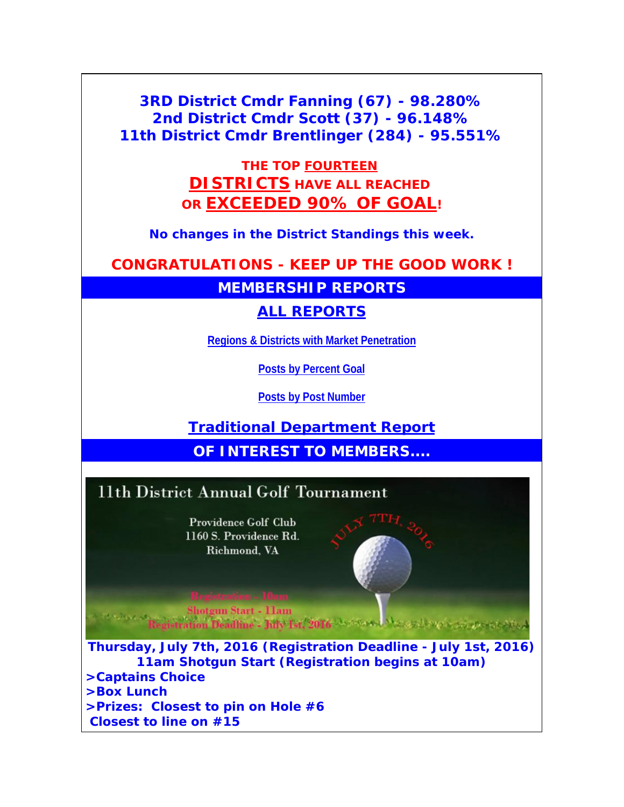**3RD District Cmdr Fanning (67) - 98.280% 2nd District Cmdr Scott (37) - 96.148% 11th District Cmdr Brentlinger (284) - 95.551%**

> *THE TOP FOURTEEN DISTRICTS HAVE ALL REACHED OR EXCEEDED 90% OF GOAL!*

**No changes in the District Standings this week.**

**CONGRATULATIONS - KEEP UP THE GOOD WORK !**

**MEMBERSHIP REPORTS**

**[ALL REPORTS](http://r20.rs6.net/tn.jsp?f=001usTWRMHz0inQZ4pO9pUPeX7fe06uzzNOY-HQeWSxnoxlXL1Bkbj0ry47rzNZeA6Qb34k_6RnjSb-pxEFAxRyVdyReQMPWVrGj_Bb9UltZaDmTuELac9lJzdvByAuraiLTGgCgD20yRZ5JoL26ilvyEqor9-dDqRKqCTelKmNOpYIFOAgm2NEHQOVRQlY-RQiEOFychPk845mwhIl7KNH5KRQ97hPna3BkGs5tbSnz6tLloG_0ILSP_OlgZ-FLEZA6etouv51EO-AqeqhSsTkhw==&c=1h8WDZm-KTRwIOLhXcFFsUd6h18G7IDSeXp2P9URKkZS80KWAC-HpQ==&ch=AtX6VZs0_7fxWV9VB8LREADMF9MTrjPIJ1dNvEvGWqyH6a0S1S9-LQ==)**

**[Regions & Districts with Market Penetration](http://r20.rs6.net/tn.jsp?f=001usTWRMHz0inQZ4pO9pUPeX7fe06uzzNOY-HQeWSxnoxlXL1Bkbj0ry47rzNZeA6Qt3n9HW177nYyWn8--lxJ_E9LPMffUIyq5-KvMCukLoR3ixZyqQ_HMvkeAPWzn3N_kxFabuLAMlgm41W2PwCmgbGSHd6qwUrhqXqzJKTqKKMbupS6msGkZx7gXQ9jRYVmLFG0seKJ4xq30SOCwG3UsVPj0Y6KJ9R7irHrbT8IM24yDdOFfK2Ns-SwGgCRBjUYrMyAvCYUXbhQNAmkIQsOzCAz-JoVL4uHwHPMKL2KZOhUiVS60nQZmPE5wl6bEFR_Zg6okhUiTOlMA5xvsNHQgHBXBOkwGWGmdw3y_oI-_kM=&c=1h8WDZm-KTRwIOLhXcFFsUd6h18G7IDSeXp2P9URKkZS80KWAC-HpQ==&ch=AtX6VZs0_7fxWV9VB8LREADMF9MTrjPIJ1dNvEvGWqyH6a0S1S9-LQ==)**

**[Posts by Percent Goal](http://r20.rs6.net/tn.jsp?f=001usTWRMHz0inQZ4pO9pUPeX7fe06uzzNOY-HQeWSxnoxlXL1Bkbj0ry47rzNZeA6QCZZOf6anD7J9hBo_Z7ASw9I0Ruekd4_G_-wX8N0ELWqkwu7vrfMWiSQyj02OSFmwof_AS0HACEd1tx3QDQXNCvsV6tHhojW0PoPrtB4hJrdpB5ch4k0BhuNsIuEr2dJjZJF_UIbXEmP8WyPKafcmLf81SGu8XrtlZMly12VuWgi8eh24AoTeYibW-H4em3z4aR-KWkquuE1rF-dpoGGz51siCYIdnNgqtY8bugQxu6uywcrorRpaduKANCobcPUa0Z9PMy5s3z3YDL0rSCtNjg==&c=1h8WDZm-KTRwIOLhXcFFsUd6h18G7IDSeXp2P9URKkZS80KWAC-HpQ==&ch=AtX6VZs0_7fxWV9VB8LREADMF9MTrjPIJ1dNvEvGWqyH6a0S1S9-LQ==)**

**[Posts by Post Number](http://r20.rs6.net/tn.jsp?f=001usTWRMHz0inQZ4pO9pUPeX7fe06uzzNOY-HQeWSxnoxlXL1Bkbj0ry47rzNZeA6Q5COlvDp1enMMA82vNt0uwhv31SCt-4W8TczMHVK6rTYwLdRQg8jgIZ3uQBdxo032DrOtjJqbGsXit6iSQSv-toAp1lq5h-mSV1pOIAW8G1SJXVLyBzkwGKzYhkmB7rmdwEBrfVaqz0Xmnj489Wq7CHpwVcuejlsQARv9sdGhZqMF0EHKFuNwFCn0K5VQV6y5ux4qhNpEs-4do9eeBO_2HQOS91vtDtllhnx9SV2tihIyO5EJ0l1EK8tiyQNeKHqjObPDMy13MlKINNEzkcQbYQ==&c=1h8WDZm-KTRwIOLhXcFFsUd6h18G7IDSeXp2P9URKkZS80KWAC-HpQ==&ch=AtX6VZs0_7fxWV9VB8LREADMF9MTrjPIJ1dNvEvGWqyH6a0S1S9-LQ==)**

**[Traditional Department Report](http://r20.rs6.net/tn.jsp?f=001usTWRMHz0inQZ4pO9pUPeX7fe06uzzNOY-HQeWSxnoxlXL1Bkbj0ry47rzNZeA6QxWBISs7uiWaG7TfPPkLkfOnmFJoWS8ScJSngliGdmwQX5FwkzhJ8Tf6jjAd1N5Ekqns57dRAyDzqxaMjmqCzQRV4_2W2yrFXbqwjANL-uICXbqJziX6rDGUR6xTnLx_gxrdIjEk0ISiMRmi8pVtaoJARpuPRLL-AxNwYfLJKD5eftpKrwhgQ6h1CzJVOqIu6GgoptsHQDee4RYIyu8DGmLAz4M1kSNCpc2iaXgoRNTLgvWKyp0fNSw__7NeC76OX&c=1h8WDZm-KTRwIOLhXcFFsUd6h18G7IDSeXp2P9URKkZS80KWAC-HpQ==&ch=AtX6VZs0_7fxWV9VB8LREADMF9MTrjPIJ1dNvEvGWqyH6a0S1S9-LQ==)**

**OF INTEREST TO MEMBERS...** 

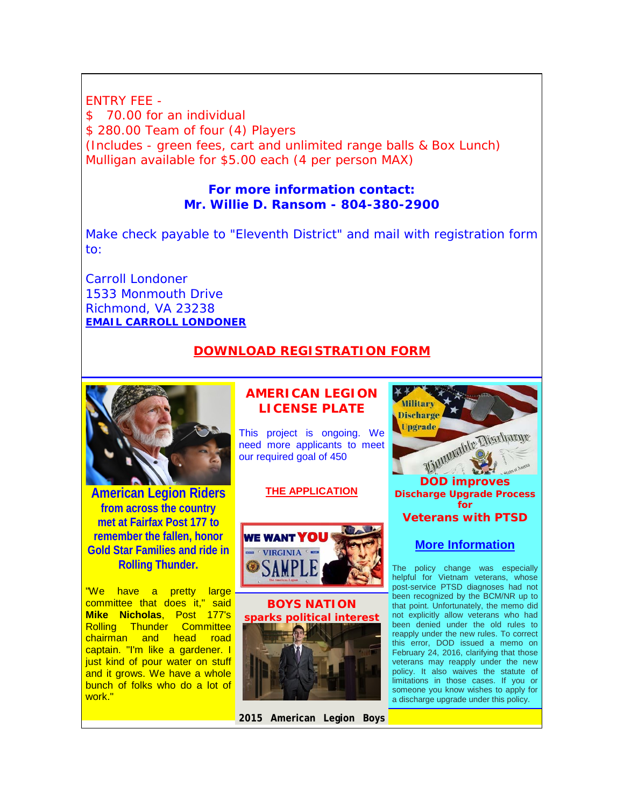ENTRY FEE - \$ 70.00 for an individual \$280.00 Team of four (4) Players (Includes - green fees, cart and unlimited range balls & Box Lunch) Mulligan available for \$5.00 each (4 per person MAX)

#### **For more information contact: Mr. Willie D. Ransom - 804-380-2900**

Make check payable to "Eleventh District" and mail with registration form to:

Carroll Londoner 1533 Monmouth Drive Richmond, VA 23238 **[EMAIL CARROLL LONDONER](mailto:clondoner@verizon.net)**

#### **[DOWNLOAD REGISTRATION FORM](http://r20.rs6.net/tn.jsp?f=001usTWRMHz0inQZ4pO9pUPeX7fe06uzzNOY-HQeWSxnoxlXL1Bkbj0r8ffoRDRU9rEu6AAEXxU8nj1fClgcTJsOnDIrxuHe5o4HxB9VzADW2cdzmNUlfJI4ahJcVqjSAkiCUj1-yXEjxCWKxIfesX7qfyV2vD7KYrBAj6rwRcpa39t3RsoOEULj5l-SUE-6HtXSnngWhTOh_Bycm3WPQsn-ZqYAj2DGkKzKb6_4ZS8LPPN0XwumjNNuvtJRoJMjZCnSYR77R0LYhORg8nAMRB28AxuD88XJGoa57EX5olqv15yBbmvT4qrOb_SkRX3Yl_15LCVYUPTvnVCHVvNZCESmckEnpIr1_6PKoH2iRGsCbgrmyD2TcHx00RM-fQU4QYGbAWhWxcbPUw=&c=1h8WDZm-KTRwIOLhXcFFsUd6h18G7IDSeXp2P9URKkZS80KWAC-HpQ==&ch=AtX6VZs0_7fxWV9VB8LREADMF9MTrjPIJ1dNvEvGWqyH6a0S1S9-LQ==)**



**American Legion Riders from across the country met at Fairfax Post 177 to remember the fallen, honor Gold Star Families and ride in Rolling Thunder.**

"We have a pretty large committee that does it," said **Mike Nicholas**, Post 177's Rolling Thunder Committee chairman and head road captain. "I'm like a gardener. I just kind of pour water on stuff and it grows. We have a whole bunch of folks who do a lot of work."

#### **AMERICAN LEGION LICENSE PLATE**

This project is ongoing. We need more applicants to meet our required goal of 450

#### **[THE APPLICATION](http://r20.rs6.net/tn.jsp?f=001usTWRMHz0inQZ4pO9pUPeX7fe06uzzNOY-HQeWSxnoxlXL1Bkbj0r9Npvh8HkzEckGfde_vBEE42gUW7RoLuGVko9whi8VN5n3ePg_ON4SmylRzERdl_SrU8r4O4Wp1CqkRewgEUnsjAGsGWodsq5gw-mf82TDNT0n73QsPGnz_t2S3K2vRLLB9Nv0CmrakhvzQWkNgij4GZy6kzfhRP-KN6ws_KkLS5oZyLnzKVaq7CZtokyaSoI71qizpZXmr0JBRuYZaB0B2v7uq1kgPYdg==&c=1h8WDZm-KTRwIOLhXcFFsUd6h18G7IDSeXp2P9URKkZS80KWAC-HpQ==&ch=AtX6VZs0_7fxWV9VB8LREADMF9MTrjPIJ1dNvEvGWqyH6a0S1S9-LQ==)**



**BOYS NATION sparks political interest**

**2015 American Legion Boys** 



The policy change was especially helpful for Vietnam veterans, whose post-service PTSD diagnoses had not been recognized by the BCM/NR up to that point. Unfortunately, the memo did not explicitly allow veterans who had been denied under the old rules to reapply under the new rules. To correct this error, DOD issued a memo on February 24, 2016, clarifying that those veterans may reapply under the new policy. It also waives the statute of limitations in those cases. If you or someone you know wishes to apply for a discharge upgrade under this policy.